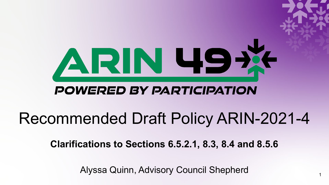

### **POWERED BY PARTICIPATION**

# Recommended Draft Policy ARIN-2021-4

**Clarifications to Sections 6.5.2.1, 8.3, 8.4 and 8.5.6**

Alyssa Quinn, Advisory Council Shepherd <sup>1</sup>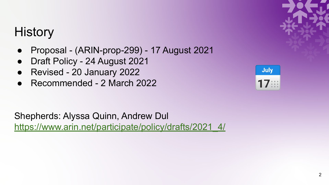# **History**

- Proposal (ARIN-prop-299) 17 August 2021
- Draft Policy 24 August 2021
- Revised 20 January 2022
- Recommended 2 March 2022



Shepherds: Alyssa Quinn, Andrew Dul [https://www.arin.net/participate/policy/drafts/2021\\_4/](https://www.arin.net/participate/policy/drafts/2021_4/)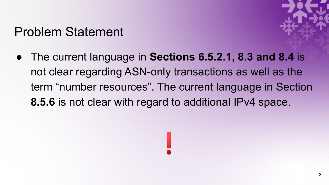### Problem Statement



● The current language in **Sections 6.5.2.1, 8.3 and 8.4** is not clear regarding ASN-only transactions as well as the term "number resources". The current language in Section **8.5.6** is not clear with regard to additional IPv4 space.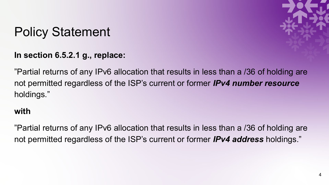![](_page_3_Picture_1.jpeg)

**In section 6.5.2.1 g., replace:**

"Partial returns of any IPv6 allocation that results in less than a /36 of holding are not permitted regardless of the ISP's current or former *IPv4 number resource* holdings."

#### **with**

"Partial returns of any IPv6 allocation that results in less than a /36 of holding are not permitted regardless of the ISP's current or former *IPv4 address* holdings."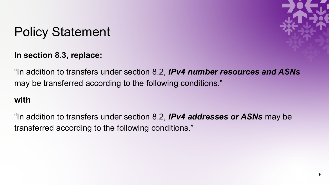**In section 8.3, replace:**

![](_page_4_Picture_2.jpeg)

"In addition to transfers under section 8.2, *IPv4 number resources and ASNs* may be transferred according to the following conditions."

#### **with**

"In addition to transfers under section 8.2, *IPv4 addresses or ASNs* may be transferred according to the following conditions."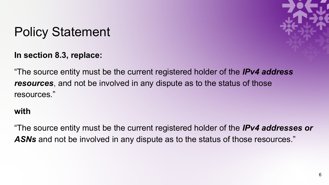**In section 8.3, replace:**

![](_page_5_Picture_2.jpeg)

"The source entity must be the current registered holder of the *IPv4 address resources*, and not be involved in any dispute as to the status of those resources."

#### **with**

"The source entity must be the current registered holder of the *IPv4 addresses or*  ASNs and not be involved in any dispute as to the status of those resources."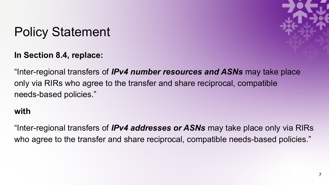![](_page_6_Picture_1.jpeg)

![](_page_6_Picture_2.jpeg)

"Inter-regional transfers of *IPv4 number resources and ASNs* may take place only via RIRs who agree to the transfer and share reciprocal, compatible needs-based policies."

#### **with**

"Inter-regional transfers of *IPv4 addresses or ASNs* may take place only via RIRs who agree to the transfer and share reciprocal, compatible needs-based policies."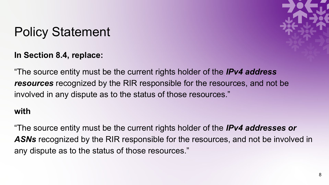#### **In Section 8.4, replace:**

![](_page_7_Picture_2.jpeg)

"The source entity must be the current rights holder of the *IPv4 address resources* recognized by the RIR responsible for the resources, and not be involved in any dispute as to the status of those resources."

#### **with**

"The source entity must be the current rights holder of the *IPv4 addresses or ASNs* recognized by the RIR responsible for the resources, and not be involved in any dispute as to the status of those resources."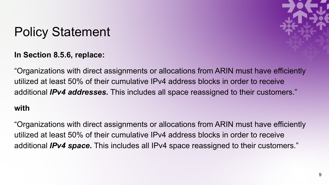![](_page_8_Picture_1.jpeg)

![](_page_8_Picture_2.jpeg)

"Organizations with direct assignments or allocations from ARIN must have efficiently utilized at least 50% of their cumulative IPv4 address blocks in order to receive additional *IPv4 addresses.* This includes all space reassigned to their customers."

#### **with**

"Organizations with direct assignments or allocations from ARIN must have efficiently utilized at least 50% of their cumulative IPv4 address blocks in order to receive additional *IPv4 space***.** This includes all IPv4 space reassigned to their customers."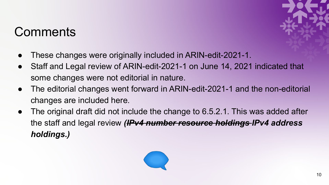### **Comments**

![](_page_9_Picture_1.jpeg)

- These changes were originally included in ARIN-edit-2021-1.
- Staff and Legal review of ARIN-edit-2021-1 on June 14, 2021 indicated that some changes were not editorial in nature.
- The editorial changes went forward in ARIN-edit-2021-1 and the non-editorial changes are included here.
- The original draft did not include the change to 6.5.2.1. This was added after the staff and legal review *(IPv4 number resource holdings IPv4 address holdings.)*

![](_page_9_Picture_6.jpeg)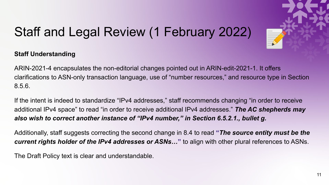![](_page_10_Picture_0.jpeg)

# Staff and Legal Review (1 February 2022)

#### **Staff Understanding**

ARIN-2021-4 encapsulates the non-editorial changes pointed out in ARIN-edit-2021-1. It offers clarifications to ASN-only transaction language, use of "number resources," and resource type in Section 8.5.6.

If the intent is indeed to standardize "IPv4 addresses," staff recommends changing "in order to receive additional IPv4 space" to read "in order to receive additional IPv4 addresses." *The AC shepherds may also wish to correct another instance of "IPv4 number," in Section 6.5.2.1., bullet g.*

Additionally, staff suggests correcting the second change in 8.4 to read **"***The source entity must be the current rights holder of the IPv4 addresses or ASNs…***"** to align with other plural references to ASNs.

The Draft Policy text is clear and understandable.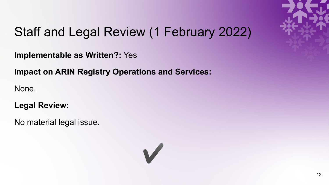![](_page_11_Picture_0.jpeg)

# Staff and Legal Review (1 February 2022)

**Implementable as Written?:** Yes

**Impact on ARIN Registry Operations and Services:**

None.

**Legal Review:**

No material legal issue.

![](_page_11_Picture_7.jpeg)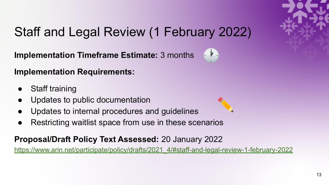![](_page_12_Picture_0.jpeg)

# Staff and Legal Review (1 February 2022)

**Implementation Timeframe Estimate:** 3 months

![](_page_12_Picture_3.jpeg)

**Implementation Requirements:**

- **Staff training**
- Updates to public documentation
- Updates to internal procedures and quidelines
- Restricting waitlist space from use in these scenarios

#### **Proposal/Draft Policy Text Assessed[:](https://lists.arin.net/pipermail/arin-ppml/2021-August/068563.html)** 20 January 2022

[https://www.arin.net/participate/policy/drafts/2021\\_4/#staff-and-legal-review-1-february-2022](https://www.arin.net/participate/policy/drafts/2021_4/#staff-and-legal-review-1-february-2022)